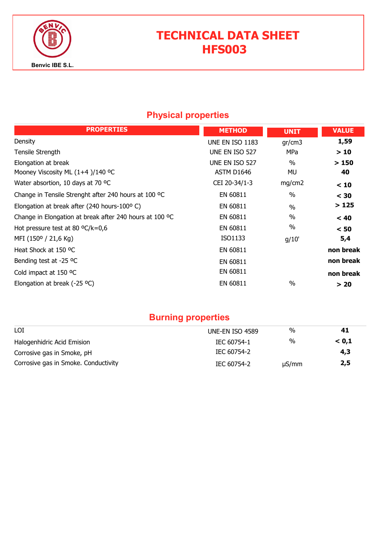

# TECHNICAL DATA SHEET HFS003

## Physical properties

| <b>PROPERTIES</b>                                       | <b>METHOD</b>   | <b>UNIT</b>   | <b>VALUE</b> |
|---------------------------------------------------------|-----------------|---------------|--------------|
| Density                                                 | UNE EN ISO 1183 | gr/cm3        | 1,59         |
| Tensile Strength                                        | UNE EN ISO 527  | MPa           | >10          |
| Elongation at break                                     | UNE EN ISO 527  | $\%$          | >150         |
| Mooney Viscosity ML $(1+4)/140$ °C                      | ASTM D1646      | MU            | 40           |
| Water absortion, 10 days at 70 °C                       | CEI 20-34/1-3   | mg/cm2        | < 10         |
| Change in Tensile Strenght after 240 hours at 100 °C    | EN 60811        | $\frac{0}{0}$ | $<$ 30       |
| Elongation at break after (240 hours-100°C)             | EN 60811        | $\frac{0}{0}$ | >125         |
| Change in Elongation at break after 240 hours at 100 °C | EN 60811        | $\frac{0}{0}$ | < 40         |
| Hot pressure test at 80 $^{\circ}$ C/k=0,6              | EN 60811        | $\%$          | < 50         |
| MFI (150° / 21,6 Kg)                                    | ISO1133         | g/10'         | 5,4          |
| Heat Shock at 150 °C                                    | EN 60811        |               | non break    |
| Bending test at -25 °C                                  | EN 60811        |               | non break    |
| Cold impact at 150 °C                                   | EN 60811        |               | non break    |
| Elongation at break (-25 $^{\circ}$ C)                  | EN 60811        | $\frac{0}{0}$ | > 20         |

## Burning properties

| LOI                                  | <b>UNE-EN ISO 4589</b> | %          | 41    |
|--------------------------------------|------------------------|------------|-------|
| Halogenhidric Acid Emision           | IEC 60754-1            | %          | < 0.1 |
| Corrosive gas in Smoke, pH           | IEC 60754-2            |            | 4,3   |
| Corrosive gas in Smoke. Conductivity | IEC 60754-2            | $\mu S/mm$ | 2,5   |